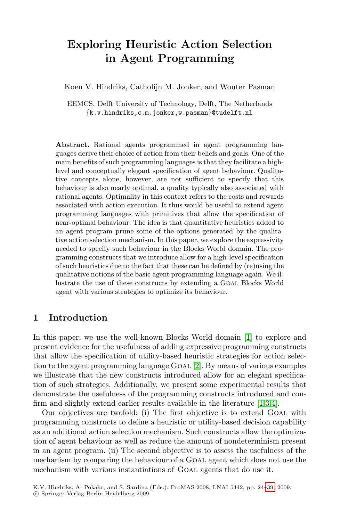# **Exploring Heuristic Action Selection in Agent Programming**

Koen V. Hindriks, Catholijn M. Jonker, and Wouter Pasman

EEMCS, Delft University of Technology, Delft, The Netherlands *{*k.v.hindriks,c.m.jonker,w.pasman*}*@tudelft.nl

**Abstract.** Rational agents programmed in agent programming languages derive their choice of action from their beliefs and goals. One of the main benefits of such programming languages is that they facilitate a highlevel and conceptually elegant specification of agent behaviour. Qualitative concepts alone, however, are not sufficient to specify that this behaviour is also nearly optimal, a quality typically also associated with rational agents. Optimality in this context refers to the costs and rewards associated with action execution. It thus would be useful to extend agent programming languages with primitives that allow the specification of near-optimal behaviour. The idea is that quantitative heuristics added to an agent program prune some of the options generated by the qualitative action selection mechanism. In this paper, we explore the expressivity needed to specify such behaviour in the Blocks World domain. The programming constructs that we introduce allow for a high-level specification of such heuristics due to the fact that th[ese](#page-15-0) can be defined by (re)using the qualitative notions of the basic agent programming language again. We illustrate the use of these constructs by extending a Goal Blocks World agent with various stra[teg](#page-15-1)ies to optimize its behaviour.

# **1 Introduction**

In this paper, we use the well-known Blocks [W](#page-15-0)[or](#page-15-2)[ld](#page-15-3) domain [1] to explore and present evidence for the usefulness of adding expressive programming constructs that allow the specification of utility-based heuristic strategies for action selection to the agent programming language Goal [2]. By means of various examples we illustrate that the new constructs introduced allow for an elegant specification of such strategies. Additionally, we present some experimental results that demonstrate the usefulness of the programming constructs introduced and confirm and slightly extend earlier results available in the literature [1,3,4].

Our objectives are twofold: (i) The first obj[ecti](#page-15-4)ve is to extend Goal with programming constructs to define a heuristic or utility-based decision capability as an additional action selection mechanism. Such constructs allow the optimization of agent behaviour as well as reduce the amount of nondeterminism present in an agent program. (ii) The second objective is to assess the usefulness of the mechanism by comparing the behaviour of a Goal agent which does not use the mechanism with various instantiations of Goal agents that do use it.

K.V. Hindriks, A. Pokahr, and S. Sardina (Eds.): ProMAS 2008, LNAI 5442, pp. 24–39, 2009. -c Springer-Verlag Berlin Heidelberg 2009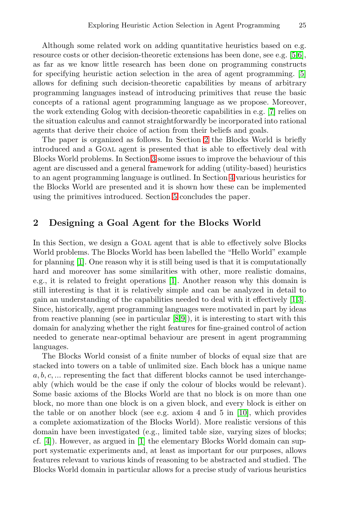Although some related work on adding quanti[ta](#page-15-5)tive heuristics based on e.g. resource costs or other decision-theoretic extensions has been done, see e.g. [5,6], as far as we know little rese[arc](#page-1-0)h has been done on programming constructs for specifying heuristic action selection in the area of agent programming. [5] allows for defi[nin](#page-6-0)g such decision-theoretic capabilities by means of arbitrary programming languages instead of introducing primitives that reuse the basic concepts of a rational agent program[m](#page-10-0)ing language as we propose. Moreover, the work extending Golog with decision-theoretic capabilities in e.g. [7] relies on the situation calculus [an](#page-14-0)d cannot straightforwardly be incorporated into rational agents that derive their choice of action from their beliefs and goals.

<span id="page-1-0"></span>The paper is organized as follows. In Section 2 the Blocks World is briefly introduced and a Goal agent is presented that is able to effectively deal with Blocks World problems. In Section 3 some issues to improve the behaviour of this agent are discussed and a general framework for adding (utility-based) heuristics to an agent programming language is outlined. In Section 4 various heuristics for the Blocks World are presented and it is shown how these can be implemented using the primitives introduced. Section 5 concludes the paper.

# **2 Designing a Goal Agent for the Block[s](#page-15-0) [W](#page-15-2)orld**

In this Section, we de[si](#page-15-6)[gn](#page-15-7) a GOAL agent that is able to effectively solve Blocks World problems. The Blocks World has been labelled the "Hello World" example for planning [1]. One reason why it is still being used is that it is computationally hard and moreover has some similarities with other, more realistic domains, e.g., it is related to freight operations [1]. Another reason why this domain is still interesting is that it is relatively simple and can be analyzed in detail to gain an understanding of the capabilities needed to deal with it effectively [1,3]. Since, historically, agent programming languages were motivated in part by ideas from reactive planning (see in particular  $[8,9]$ ), it is interesting to start with this domain for analyzing whether the right features for fine-grained control of action needed to generate near-optimal behavi[our](#page-15-8) are present in agent programming languages.

The Blocks World consist of a finite number of blocks of equal size that are stacked int[o t](#page-15-0)owers on a table of unlimited size. Each block has a unique name  $a, b, c, \ldots$  representing the fact that different blocks cannot be used interchangeably (which would be the case if only the colour of blocks would be relevant). Some basic axioms of the Blocks World are that no block is on more than one block, no more than one block is on a given block, and every block is either on the table or on another block (see e.g. axiom 4 and 5 in [10], which provides a complete axiomatization of the Blocks World). More realistic versions of this domain have been investigated (e.g., limited table size, varying sizes of blocks; cf. [4]). However, as argued in [1] the elementary Blocks World domain can support systematic experiments and, at least as important for our purposes, allows features relevant to various kinds of reasoning to be abstracted and studied. The Blocks World domain in particular allows for a precise study of various heuristics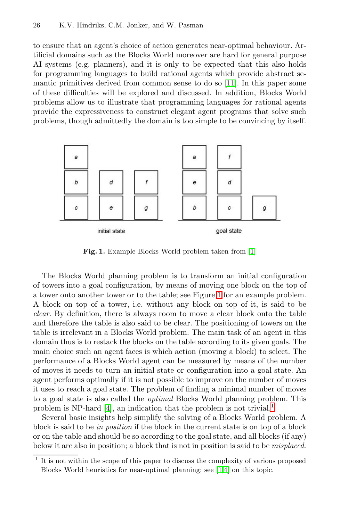## 26 K.V. Hindriks, C.M. Jonker, and W. Pasman

to ensure that an agent's choice of action generates near-optimal behaviour. Artificial domains such as the Blocks World moreover are hard for general purpose AI systems (e.g. planners), and it is only to be expected that this also holds for programming languages to build rational agents which provide abstract semantic primitives derived from common sense to do so [11]. In this paper some of these difficulties will be explored and discussed. In addition, Blocks World problems allow us to illustrate that programming languages for rational agents provide the expressiveness to construct elegant agent programs that solve such problems, though admittedly the domain is too simple to be convincing by itself.

<span id="page-2-1"></span>

**Fig. 1.** Example Blocks World problem taken from [1]

The Blocks World planning problem is to transform an initial configuration of towers into a goal configuration, by means of moving one block on the top of a tower onto another tower or to the table; see Figure 1 for an example problem. A block on top of a tower, i.e. without any block on top of it, is said to be *clear*. By definition, there is always room to move a clear block onto the table and therefore the table is also said to be clear. The positioning of towers on the t[abl](#page-15-3)e is irrelevant in a Blocks World problem. Th[e m](#page-2-0)ain task of an agent in this domain thus is to restack the blocks on the table according to its given goals. The main choice such an agent faces is which action (moving a block) to select. The performance of a Blocks World agent can be measured by means of the number of moves it needs to turn an initial state or configuration into a goal state. An agent performs optimally if it is not possible to improve on the number of moves it uses to reach a goal state. The problem of finding a minimal number of moves to a goal state is also called the *o[pt](#page-15-0)[im](#page-15-3)al* Blocks World planning problem. This problem is NP-hard [4], an indication that the problem is not trivial.<sup>1</sup>

<span id="page-2-0"></span>Several basic insights help simplify the solving of a Blocks World problem. A block is said to be *in position* if the block in the current state is on top of a block or on the table and should be so according to the goal state, and all blocks (if any) below it are also in position; a block that is not in position is said to be *misplaced*.

<sup>1</sup> It is not within the scope of this paper to discuss the complexity of various proposed Blocks World heuristics for near-optimal planning; see [1,4] on this topic.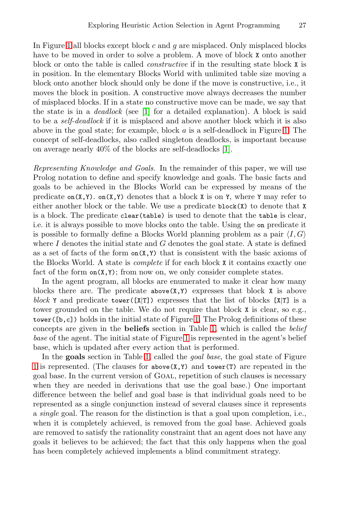In Figure 1 a[ll](#page-15-0) [b](#page-15-0)locks except block  $c$  and  $g$  are misplaced. Only misplaced blocks ha[ve](#page-2-1) to be moved in order to solve a problem. A move of block X onto another block or onto the table is called *constructive* if in the resulting state block X is in position. In the elementary Block[s W](#page-15-0)orld with unlimited table size moving a block onto another block should only be done if the move is constructive, i.e., it moves the block in position. A constructive move always decreases the number of misplaced blocks. If in a state no constructive move can be made, we say that the state is in a *deadlock* (see [1] for a detailed explanation). A block is said to be a *self-deadlock* if it is misplaced and above another block which it is also above in the goal state; for example, block  $a$  is a self-deadlock in Figure 1. The concept of self-deadlocks, also called singleton deadlocks, is important because on average nearly 40% of the blocks are self-deadlocks [1].

*Representing Knowledge and Goals.* In the remainder of this paper, we will use Prolog notation to define and specify knowledge and goals. The basic facts and goals to be achieved in the Blocks World can be expressed by means of the predicate  $on(X,Y)$ . on $(X,Y)$  denotes that a block X is on Y, where Y may refer to either another block or the table. We use a predicate  $block(X)$  to denote that X is a block. The predicate clear(table) is used to denote that the table is clear, i.e. it is always possible to move blocks onto the table. Using the on predicate it is possible to formally define a Blocks World planning problem as a pair  $\langle I, G \rangle$ <br>where I denotes the initial state and G denotes the soal state. A state is defined where I denotes the initial [sta](#page-2-1)te and  $G$  denotes the goal state. A state is defined as a set of facts of the form  $\text{on}(X,Y)$  $\text{on}(X,Y)$  $\text{on}(X,Y)$  that is consistent with the basic axioms of the Blocks World. A sta[te](#page-2-1) is *complete* if for each block X it contains exactly one fact of the form  $\text{on}(X,Y)$ ; from now on, we only consider complete states.

In the age[nt](#page-4-0) program, all blocks are enumerated to make it clear how many blocks there are. The predicate  $above(X, Y)$  expresses that block X is above *block* Y and predicate tower([X*|*T]) expresses that the list of blocks [X*|*T] is a tower grounded on the table. We do not require that block X is clear, so e.g., tower([b,c]) holds in the initial state of Figure 1. The Prolog definitions of these concepts are given in the **beliefs** section in Table 1, which is called the *belief base* of the agent. The initial state of Figure 1 is represented in the agent's belief base, which is updated after every action that is performed.

In the **goals** section in Table 1, called the *goal base*, the goal state of Figure 1 is represented. (The clauses for  $above(X, Y)$  and  $tower(T)$  are repeated in the goal base. In the current version of Goal, repetition of such clauses is necessary when they are needed in derivations that use the goal base.) One important difference between the belief and goal base is that individual goals need to be represented as a single conjunction instead of several clauses since it represents a *single* goal. The reason for the distinction is that a goal upon completion, i.e., when it is completely achieved, is removed from the goal base. Achieved goals are removed to satisfy the rationality constraint that an agent does not have any goals it believes to be achieved; the fact that this only happens when the goal has been completely achieved implements a blind commitment strategy.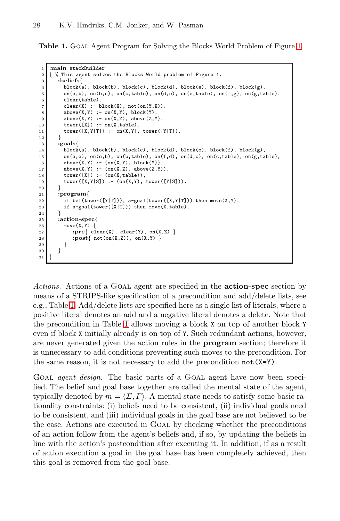<span id="page-4-0"></span>**Table 1.** Goal Agent Program for Solving the Blocks World Problem of Figure 1

```
1 : main stackBuilder
         2 { % This agent solves the Blocks World problem of Figure 1.
 3 beliefs{
             block(a), block(b), block(c), block(d), block(e), block(f), block(g).
 5 on(a,b), on(b,c), on(c,table), on(d,e), on(e,table), on(f,g), on(g,table).<br>clear(table).
             clear(table).
 7 clear(X) :- block(X), not(on(Y,X)).
 8 above(X, Y) :- on(X, Y), block(Y).
9 above(X,Y) :- on(X,Z), above(Z,Y).
10 tower([X]) :- on(X,table).
             \textrm{tower}(\lbrack X,Y|\mathbb{T}\rbrack) := \textrm{on}(X,Y), \textrm{tower}(\lbrack Y|\mathbb{T}\rbrack).
\begin{array}{c} 12 \\ 13 \end{array}13 :goals{
             \text{block}(a), \text{block}(b), \text{block}(c), \text{block}(d), \text{block}(e), \text{block}(f), \text{block}(g),
\begin{array}{c} \texttt{on}(a,e), \texttt{on}(e,b), \texttt{on}(b,\texttt{table}), \texttt{on}(f,d), \texttt{on}(d,c), \texttt{on}(c,\texttt{table}), \texttt{on}(g,\texttt{table}), above (X,Y) := (\texttt{on}(X,Y), \texttt{block}(Y)).
             above(X,Y) := (on(X,Y), block(Y))17 above(X,Y) :- \text{on}(X,Z), above(Z,Y)),<br>
18 tower([X]) :- \text{on}(X,\text{table})),
18 tower([X]) :- (on(X,table)),<br>19 tower([X,Y|S]) :- (on(X,Y),
             \textrm{tower}([X,Y|S]) :- (on(X,Y), tower([Y|S])).
20 }
21 :program{<br>22 if bel(tower([Y|T])), a-goal(tower([X,Y|T])) then move(X,Y).
23 if a-goal(tower([X|T])) then move(X,table).
\frac{24}{25}\begin{array}{c|c}\n\text{25} & \text{:action-specific}\n\text{26} & \text{move } (X, Y) \end{array}\begin{array}{c} 26 \\ 27 \end{array} move (X, Y) {<br>27 move (clear (X)), clear (Y)), on (X, Z) }
27 :pre{ clear(X), clear(Y), on(X,Z) }<br>
28 :post{ not(on(X,Z)), on(X,Y) }
\begin{array}{c|c}\n 29 & & \rightarrow \\
 30 & & \rightarrow\n\end{array}30 }
31 }
```
*Actions.* Actions of a Goal agent are specified in the **action-spec** section by means of a STRIPS-like specification of a precondition and add/delete lists, see e.g., Table 1. Add/delete lists are specified here as a single list of literals, where a positive literal denotes an add and a negative literal denotes a delete. Note that the precondition in Table 1 allows moving a block X on top of another block Y even if block X initially already is on top of Y. Such redundant actions, however, are never generated given the action rules in the **program** section; therefore it is unnecessary to add conditions preventing such moves to the precondition. For the same reason, it is not necessary to add the precondition  $not(X=Y)$ .

GOAL *agent design*. The basic parts of a GOAL agent have now been specified. The belief and goal base together are called the mental state of the agent, typically denoted by  $m = \langle \Sigma, \Gamma \rangle$ . A mental state needs to satisfy some basic ra-<br>tionality constraints: (i) beliefs need to be consistent (ii) individual goals need tionality constraints: (i) beliefs need to be consistent, (ii) individual goals need to be consistent, and (iii) individual goals in the goal base are not believed to be the case. Actions are executed in Goal by checking whether the preconditions of an action follow from the agent's beliefs and, if so, by updating the beliefs in line with the action's postcondition after executing it. In addition, if as a result of action execution a goal in the goal base has been completely achieved, then this goal is removed from the goal base.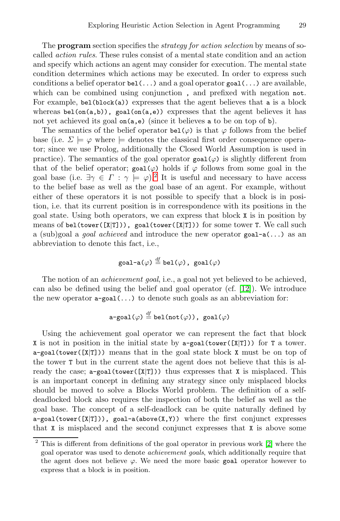The **program** section specifies the *strategy for action selection* by means of socalled *action rules*. These rules consist of a mental state condition and an action and specify which actions an agent may consider for execution. The mental state condition determines which actions may be executed. In order to express such conditions a belief operator bel(...) and a goal operator goal(...) are available, which can be combined using conjunction , and prefixed with negation not. For example, b[el\(](#page-5-0)block(a)) expresses that the agent believes that a is a block whereas  $bel(on(a,b))$ , goal $(on(a,e))$  expresses that the agent believes it has not yet achieved its goal on(a,e) (since it believes a to be on top of b).

The semantics of the belief operator  $\text{bel}(\varphi)$  is that  $\varphi$  follows from the belief base (i.e.  $\Sigma \models \varphi$  where  $\models$  denotes the classical first order consequence operator; since we use Prolog, additionally the Closed World Assumption is used in practice). The semantics of the goal operator goal( $\varphi$ ) is slightly different from that of the belief operator; goal( $\varphi$ ) holds if  $\varphi$  follows from some goal in the goal has  $\varphi$  is  $\varphi \in \Gamma : \alpha \models \varphi$ )<sup>2</sup> It is useful and necessary to have access goal base (i.e.  $\exists \gamma \in \Gamma : \gamma \models \varphi$ ).<sup>2</sup> It is useful and necessary to have access to the belief base as well as the goal base of an agent. For example, without either of these operators it is not possible to specify that a block is in position, i.e. that its current position is in correspondence with its positions in the goal state. Using both operators, we can [exp](#page-15-9)ress that block X is in position by means of bel(tower([X*|*T])), goal(tower([X*|*T])) for some tower T. We call such a (sub)goal a *goal achieved* and introduce the new operator goal-a(...) as an abbreviation to denote this fact, i.e.,

$$
\texttt{goal-a}(\varphi) \stackrel{\mathrm{df}}{=} \texttt{bel}(\varphi), \texttt{ goal}(\varphi)
$$

The notion of an *achievement goal*, i.e., a goal not yet believed to be achieved, can also be defined using the belief and goal operator (cf. [12]). We introduce the new operator  $a$ -goal(...) to denote such goals as an abbreviation for:

$$
\texttt{a-goal}(\varphi) \stackrel{\mathrm{df}}{=} \texttt{bel}(\texttt{not}(\varphi))\,,\;\texttt{goal}(\varphi)
$$

<span id="page-5-0"></span>Using the achievement goal operator we can represent the fact that block X is not in position in the initial state by a-goal(tower([X*|*T])) for T a tower. a-goal(tower([X*|*T])) means that in the goal state block X must be on top of the tower T but in the current state the agent does not believe that this is already the case; a-goal(tower([X|T])) thus expr[ess](#page-15-1)es that X is misplaced. This is an important concept in defining any strategy since only misplaced blocks should be moved to solve a Blocks World problem. The definition of a selfdeadlocked block also requires the inspection of both the belief as well as the goal base. The concept of a self-deadlock can be quite naturally defined by a-goal(tower([X*|*T])), goal-a(above(X,Y)) where the first conjunct expresses that X is misplaced and the second conjunct expresses that X is above some

 $2$  This is different from definitions of the goal operator in previous work [2] where the goal operator was used to denote *achievement goals*, which additionally require that the agent does not believe  $\varphi$ . We need the more basic goal operator however to express that a block is in position.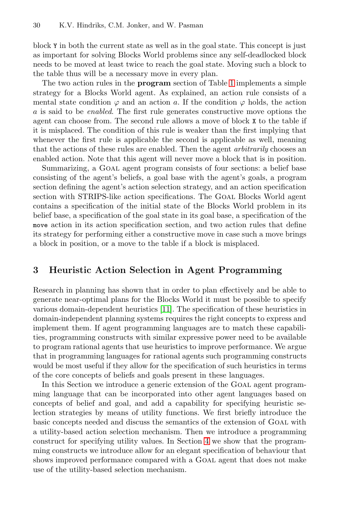## 30 K.V. Hindriks, C.M. Jonker, and W. Pasman

block Y in both the current state as well as in the goal state. This concept is just as important for solving Blocks World problems since any self-deadlocked block needs to be moved at least twice to reach the goal state. Moving such a block to the table thus will be a necessary move in every plan.

The two action rules in the **program** section of Table 1 implements a simple strategy for a Blocks World agent. As explained, an action rule consists of a mental state condition  $\varphi$  and an action a. If the condition  $\varphi$  holds, the action a is said to be *enabled*. The first rule generates constructive move options the agent can choose from. The second rule allows a move of block X to the table if it is misplaced. The condition of this rule is weaker than the first implying that whenever the first rule is applicable the second is applicable as well, meaning that the actions of these rules are enabled. Then the agent *arbitrarily* chooses an enabled action. Note that this agent will never move a block that is in position.

<span id="page-6-0"></span>Summarizing, a Goal agent program consists of four sections: a belief base consisting of the agent's beliefs, a goal base with the agent's goals, a program section defining the agent's action selection strategy, and an action specification section with STRIPS-like action specifications. The Goal Blocks World agent contains a specification of the initial state of the Blocks World problem in its belief base, a specification of the goal state in its goal base, a specification of the move action in its action specification section, and two action rules that define its strategy for pe[rfor](#page-15-10)ming either a constructive move in case such a move brings a block in position, or a move to the table if a block is misplaced.

# **3 Heuristic Action Selection in Agent Programming**

Research in planning has shown that in order to plan effectively and be able to generate near-optimal plans for the Blocks World it must be possible to specify various domain-dependent heuristics [11]. The specification of these heuristics in domain-independent planning systems requires the right concepts to express and implement them. If agent programming languages are to match these capabilities, programming constructs with similar expressive power need to be available to program rational agents that use heuristics to improve performance. We argue that in programming languages for rational agents such programming constructs would be most useful if they all[ow](#page-10-0) for the specification of such heuristics in terms of the core concepts of beliefs and goals present in these languages.

In this Section we introduce a generic extension of the GOAL agent programming language that can be incorporated into other agent languages based on concepts of belief and goal, and add a capability for specifying heuristic selection strategies by means of utility functions. We first briefly introduce the basic concepts needed and discuss the semantics of the extension of Goal with a utility-based action selection mechanism. Then we introduce a programming construct for specifying utility values. In Section 4 we show that the programming constructs we introduce allow for an elegant specification of behaviour that shows improved performance compared with a GOAL agent that does not make use of the utility-based selection mechanism.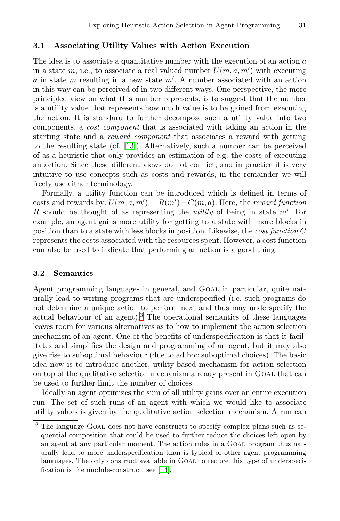# **3.1 Associating Utility Values with Action Execution**

The idea is to associate a quantitative number with the execution of an action  $a$ in a sta[te](#page-15-11) m, i.e., to associate a real valued number  $U(m, a, m')$  with executing a in state m sesulting in a new state m'. A number associated with an action a in state m resulting in a new state  $m'$ . A number associated with an action<br>in this way can be perceived of in two different ways. One perspective, the more in this way can be perceived of in two different ways. One perspective, the more principled view on what this number represents, is to suggest that the number is a utility value that represents how much value is to be gained from executing the action. It is standard to further decompose such a utility value into two components, a *cost component* that is associated with taking an action in the starting state and a *reward component* that associates a reward with getting to the resulting state (cf. [13]). Alternatively, such a number can be perceived of as a heuristic that only provides an estimation of e.g. the costs of executing an action. Since these different views do not conflict, and in practice it is very intuitive to use concepts such as costs and rewards, in the remainder we will freely use either terminology.

Formally, a utility function can be introduced which is defined in terms of costs and rewards by:  $U(m, a, m') = R(m') - C(m, a)$ . Here, the *reward function*<br>R should be thought of as representing the *utility* of being in state m' For R should be thought of as representing the *utility* of being in state  $m'$ . For example, an agent gains more utility for getting to a state with more blocks in example, an agent gains more utility for getting to a state with more blocks in position than to a state with less blocks in position. Likewise, the *cost function* C represents t[he](#page-7-0) costs associated with the resources spent. However, a cost function can also be used to indicate that performing an action is a good thing.

Agent programming languages in general, and GOAL in particular, quite naturally lead to writing programs that are underspecified (i.e. such programs do not determine a unique action to perform next and thus may underspecify the actual behaviour of an agent).<sup>3</sup> The operational semantics of these languages leaves room for various alternatives as to how to implement the action selection mechanism of an agent. One of the benefits of underspecification is that it facilitates and simplifies the design and programming of an agent, but it may also give rise to suboptimal behaviour (due to ad hoc suboptimal choices). The basic idea now is to introduce another, utility-based mechanism for action selection on top of the qualitative selection mechanism already present in Goal that can be used to further limit the number of choices.

<span id="page-7-0"></span>Ideally an agen[t op](#page-15-12)timizes the sum of all utility gains over an entire execution run. The set of such runs of an agent with which we would like to associate utility values is given by the qualitative action selection mechanism. A run can

<sup>&</sup>lt;sup>3</sup> The language GOAL does not have constructs to specify complex plans such as sequential composition that could be used to further reduce the choices left open by an agent at any particular moment. The action rules in a Goal program thus naturally lead to more underspecification than is typical of other agent programming languages. The only construct available in GOAL to reduce this type of underspecification is the module-construct, see [14].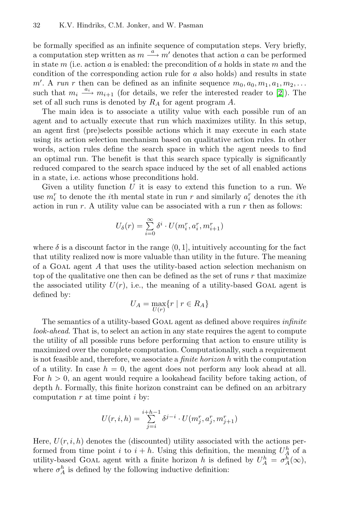### 32 K.V. Hindriks, C.M. Jonker, and W. Pasman

be formally specified as an infinite sequence of computation steps. Very briefly, a computation step written as  $m \stackrel{a}{\longrightarrow} m'$  denotes that action a can be performed in state  $m$  (i.e. action  $a$  is enabled: the precondition of  $a$  holds in state  $m$  and the condition of the corresponding action rule for  $a$  also holds) and results in state  $m'$ . A *run* r then can be defined as an infinite sequence  $m_0, a_0, m_1, a_1, m_2, \ldots$ such that  $m_i \xrightarrow{a_i} m_{i+1}$  (for details, we refer the interested reader to [2]). The set of all such runs is denoted by  $R_A$  for agent program  $A$ .

The main idea is to associate a utility value with each possible run of an agent and to actually execute that run which maximizes utility. In this setup, an agent first (pre)selects possible actions which it may execute in each state using its action selection mechanism based on qualitative action rules. In other words, action rules define the search space in which the agent needs to find an optimal run. The benefit is that this search space typically is significantly reduced compared to the search space induced by the set of all enabled actions in a state, i.e. actions whose preconditions hold.

Given a utility function  $U$  it is easy to extend this function to a run. We use  $m_i^r$  to denote the *i*th mental state in run r and similarly  $a_i^r$  denotes the *i*th action in run r. A utility value can be associated with a run r then as follows: action in run  $r$ . A utility value can be associated with a run  $r$  then as follows:

$$
U_{\delta}(r) = \sum_{i=0}^{\infty} \delta^i \cdot U(m^r_i, a^r_i, m^r_{i+1})
$$

where  $\delta$  is a discount factor in the range  $(0, 1]$ , intuitively accounting for the fact<br>that utility realized now is more valuable than utility in the future. The meaning that utility realized now is more valuable than utility in the future. The meaning of a Goal agent A that uses the utility-based action selection mechanism on top of the qualitative one then can be defined as the set of runs  $r$  that maximize the associated utility  $U(r)$ , i.e., the meaning of a utility-based GOAL agent is defined by:

$$
U_A = \max_{U(r)} \{r \mid r \in R_A\}
$$

The semantics of a utility-based Goal agent as defined above requires *infinite look-ahead*. That is, to select an action in any state requires the agent to compute the utility of all possible runs before performing that action to ensure utility is maximized over the complete computation. Computationally, such a requirement is not feasible and, therefore, we associate a *finite horizon* h with the computation of a utility. In case  $h = 0$ , the agent does not perform any look ahead at all. For  $h > 0$ , an agent would require a lookahead facility before taking action, of depth h. Formally, this finite horizon constraint can be defined on an arbitrary computation  $r$  at time point  $i$  by:

$$
U(r, i, h) = \sum_{j=i}^{i+h-1} \delta^{j-i} \cdot U(m_j^r, a_j^r, m_{j+1}^r)
$$

Here,  $U(r, i, h)$  denotes the (discounted) utility associated with the actions performed from time point i to  $i + h$ . Using this definition, the meaning  $U_A^h$  of a utility-hased GOAL agent with a finite horizon h is defined by  $U_A^h = \sigma^h(\infty)$ . utility-based GOAL agent with a finite horizon h is defined by  $U_A^h = \sigma_A^h(\infty)$ ,<br>where  $\sigma^h$  is defined by the following inductive definition: where  $\sigma_A^h$  is defined by the following inductive definition: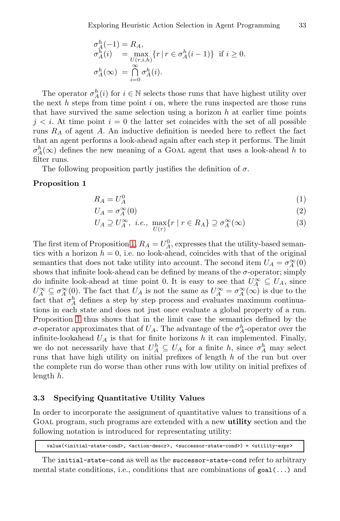$$
\begin{array}{l} \sigma^h_A(-1) = R_A,\\ \sigma^h_A(i) &= \max\limits_{U(r,i,h)}\{r\,|\,r\in \sigma^h_A(i-1)\} \;\; \text{if}\; i\geq 0.\\ \sigma^h_A(\infty) \;=\bigcap\limits_{i=0}^\infty \sigma^h_A(i). \end{array}
$$

<span id="page-9-0"></span>The operator  $\sigma_A^h(i)$  for  $i \in \mathbb{N}$  selects those runs that have highest utility over the next  $h$  steps from time point  $i$  on, where the runs inspected are those runs that have survived the same selection using a horizon  $h$  at earlier time points  $j < i$ . At time point  $i = 0$  the latter set coincides with the set of all possible runs  $R_A$  of agent A. An inductive definition is needed here to reflect the fact that an agent performs a look-ahead again after each step it performs. The limit  $\sigma_A^h(\infty)$  defines the new meaning of a GOAL agent that uses a look-ahead h to filter runs filter runs.

The fo[llo](#page-9-0)wing proposition partly justifies the definition of  $\sigma$ .

# **Proposition 1**

$$
R_A = U_A^0 \tag{1}
$$

$$
U_A = \sigma_A^{\infty}(0)
$$
 (2)

$$
U_A \supseteq U_A^{\infty}, \ i.e., \ \max_{U(r)} \{r \mid r \in R_A\} \supseteq \sigma_A^{\infty}(\infty) \tag{3}
$$

The first item of Proposition 1,  $R_A = U_A^0$ , expresses that the utility-based seman-<br>tics with a horizon  $h = 0$ , i.e. no look-ahead, coincides with that of the original tics with a horizon  $h = 0$ , i.e. no look-ahead, coincides with that of the original semantics that does not take utility into account. The second item  $U_A = \sigma_A^{\infty}(0)$ <br>shows that infinite look-ahead can be defined by means of the  $\sigma$ -operator: simply shows that infinite look-ahead can be defined by means of the  $\sigma$ -operator; simply do infinite look-ahead at time point 0. It is easy to see that  $U_A^{\infty} \subseteq U_A$ , since  $U^{\infty} \subset \sigma^{\infty}(0)$ . The fact that  $U_A$  is not the same as  $U^{\infty} = \sigma^{\infty}(\infty)$  is due to the  $U_A^{\infty} \subseteq \sigma_A^{\infty}(0)$ . The fact that  $U_A$  is not the same as  $U_A^{\infty} = \sigma_A^{\infty}(\infty)$  is due to the fact that  $\sigma_A^h$  defines a step by step process and evaluates maximum continuafact that  $\sigma_A^h$  defines a step by step process and evaluates maximum continua-<br>tions in each state and does not just once evaluate a global property of a run tions in each state and does not just once evaluate a global property of a run. Proposition 1 thus shows that in the limit case the semantics defined by the σ-operator approximates that of  $U_A$ . The advantage of the σ<sup>h</sup><sub>4</sub>-operator over the infinite-lookshead  $U_A$  is that for finite horizons h it can implemented. Finally infinite-lookahead  $U_A$  is that for finite horizons h it can implemented. Finally, we do not necessarily have that  $U_A^h \subseteq U_A$  for a finite h, since  $\sigma_A^h$  may select<br>runs that have high utility on initial prefixes of length h of the run but over runs that have high utility on initial prefixes of length h of the run but over the complete run do worse than other runs with low utility on initial prefixes of length h.

## **3.3 Specifying Quantitative Utility Values**

In order to incorporate the assignment of quantitative values to transitions of a Goal program, such programs are extended with a new **utility** section and the following notation is introduced for representating utility:

value(<initial-state-cond>, <action-descr>, <successor-state-cond>) = <utility-expr>

The initial-state-cond as well as the successor-state-cond refer to arbitrary mental state conditions, i.e., conditions that are combinations of  $\text{goal}(\ldots)$  and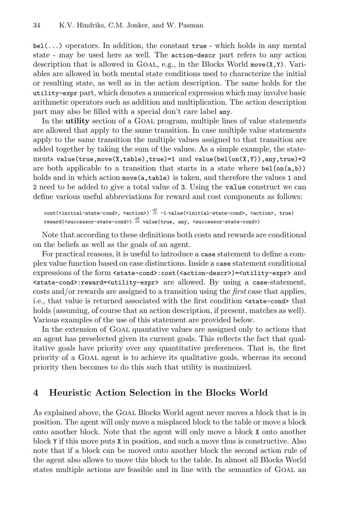$bel(...)$  operators. In addition, the constant  $true$  - which holds in any mental state - may be used here as well. The action-descr part refers to any action description that is allowed in GOAL, e.g., in the Blocks World move  $(X, Y)$ . Variables are allowed in both mental state conditions used to characterize the initial or resulting state, as well as in the action description. The same holds for the utility-expr part, which denotes a numerical expression which may involve basic arithmetic operators such as addition and multiplication. The action description part may also be filled with a special don't care label any.

In the **utility** section of a Goal program, multiple lines of value statements are allowed that apply to the same transition. In case multiple value statements apply to the same transition the multiple values assigned to that transition are added together by taking the sum of the values. As a simple example, the statements value(true,move(X,table),true)=1 and value(bel(on(X,Y)),any,true)=2 are both applicable to a transition that starts in a state where  $bel($  $o(n,a,b))$ holds and in which action move(a,table) is taken, and therefore the values 1 and 2 need to be added to give a total value of 3. Using the value construct we can define various useful abbreviations for reward and cost components as follows:

cost(<initial-state-cond>, <action>) *df* = -1·value(<initial-state-cond>, <action>, true) reward(<successor-state-cond>) *df* = value(true, any, <successor-state-cond>)

Note that according to these definitions both costs and rewards are conditional on the beliefs as well as the goals of an agent.

For practical reasons, it is useful to introduce a case statement to define a complex value function based on case distinctions. Inside a case statement conditional expressions of the form <state-cond>:cost(<action-descr>)=<utility-expr> and <state-cond>:reward=<utility-expr> are allowed. By using a case-statement, costs and/or rewards are assigned to a transition using the *first* case that applies, i.e., that value is returned associated with the first condition <state-cond> that holds (assuming, of course that an action description, if present, matches as well). Various examples of the use of this statement are provided below.

In the extension of Goal quantative values are assigned only to actions that an agent has preselected given its current goals. This reflects the fact that qualitative goals have priority over any quantitative preferences. That is, the first priority of a Goal agent is to achieve its qualitative goals, whereas its second priority then becomes to do this such that utility is maximized.

## <span id="page-10-0"></span>**4 Heuristic Action Selection in the Blocks World**

As explained above, the GOAL Blocks World agent never moves a block that is in position. The agent will only move a misplaced block to the table or move a block onto another block. Note that the agent will only move a block X onto another block Y if this move puts X in position, and such a move thus is constructive. Also note that if a block can be moved onto another block the second action rule of the agent also allows to move this block to the table. In almost all Blocks World states multiple actions are feasible and in line with the semantics of Goal an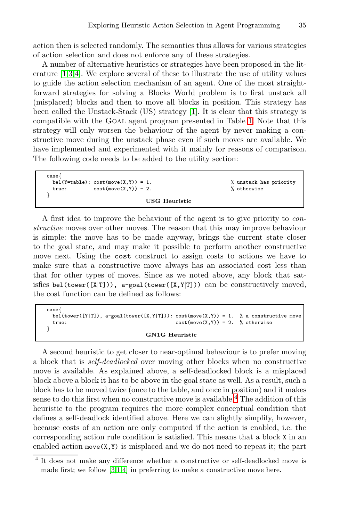action then is selected ran[dom](#page-15-0)ly. The sema[nti](#page-4-0)cs thus allows for various strategies of action selection and does not enforce any of these strategies.

A number of alternative heuristics or strategies have been proposed in the literature [1,3,4]. We explore several of these to illustrate the use of utility values to guide the action selection mechanism of an agent. One of the most straightforward strategies for solving a Blocks World problem is to first unstack all (misplaced) blocks and then to move all blocks in position. This strategy has been called the Unstack-Stack (US) strategy [1]. It is clear that this strategy is compatible with the Goal agent program presented in Table 1. Note that this strategy will only worsen the behaviour of the agent by never making a constructive move during the unstack phase even if such moves are available. We have implemented and experimented with it mainly for reasons of comparison. The following code needs to be added to the utility section:

case{ bel(Y=table):  $cost(move(X,Y)) = 1$ .<br>  $true: \qquad cost(move(X,Y)) = 2$ .<br>  $% otherwise$ <br>  $% otherwise$  $cost(move(X,Y)) = 2$ } **USG Heuristic USG Heuristic**

A first idea to improve the behaviour of the agent is to give priority to *constructive* moves over other moves. The reason that this may improve behaviour is simple: the move has to be made anyway, brings the current state closer to the goal state, and may make it possible to perform another constructive move next. Using the cost construct to assign costs to actions we have to make sure that a constructive move always has an associated cost less than that for other types of moves. Since as we noted above, any block that satisfies bel(tower([X*|*T])), a-goal(tower([X,Y*|*T])) can be constructively moved, the cost function can be defined as follows:

```
case-
  bel(tower([Y|T]), a-goal(tower([X,Y|T])): cost(move(X,Y)) = 1. % a constructive move<br>true: cost(move(X,Y)) = 2. % otherwise
                                                        cost(move(X, Y)) = 2. % otherwise
}
                                           GN1G Heuristic
```
<span id="page-11-0"></span>A second heuristic to get closer to near-optimal behaviour is to prefer moving a block that is *self-deadlocked* over moving other blocks when no constructive move is available. As explained above, a self-deadlocked block is a misplaced block above a block it has to be above in the goal state as well. As a result, such a block has to be moved twice (once to the table, and once in position) and it makes sen[se](#page-15-2) [t](#page-15-0)[o](#page-15-3) [d](#page-15-3)o this first when no constructive move is available.<sup>4</sup> The addition of this heuristic to the program requires the more complex conceptual condition that defines a self-deadlock identified above. Here we can slightly simplify, however, because costs of an action are only computed if the action is enabled, i.e. the corresponding action rule condition is satisfied. This means that a block X in an enabled action  $move(X, Y)$  is misplaced and we do not need to repeat it; the part

<sup>4</sup> It does not make any difference whether a constructive or self-deadlocked move is made first; we follow [3,1,4] in preferring to make a constructive move here.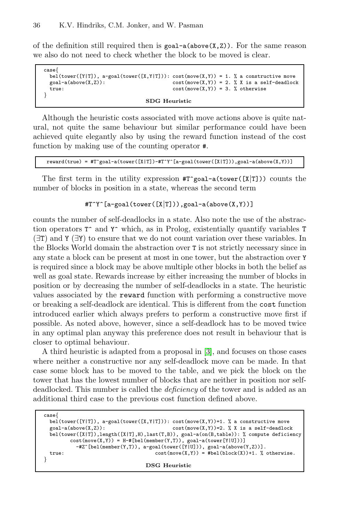of the definition still required then is  $goal-a(above(X,Z))$ . For the same reason we also do not need to check whether the block to be moved is clear.

```
case{
  bel(tower([Y|T]), a-goal(tower([X,Y|T])): cost(move(X,Y)) = 1. % a constructive move<br>goal-a(above(X,Z)): cost(move(X,Y)) = 2. % X is a self-deadloc
   goal-a(above(X,Z)): cost(move(X,Y)) = 2. % X is a self-deadlock
true: cost(move(X,Y)) = 3. % otherwise
}
                                                SDG Heuristic
                                                 SDG Heuristic
```
Although the heuristic costs associated with move actions above is quite natural, not quite the same behaviour but similar performance could have been achieved quite elegantly also by using the reward function instead of the cost function by making use of the counting operator #.

reward(true) = #T^goal-a(tower([X|T])-#T^Y^[a-goal(tower([X|T])),goal-a(above(X,Y))]

The first term in the utility expression  $\sharp T^{\circ}$ goal-a(tower([X|T])) counts the number of blocks in position in a state, whereas the second term

```
\texttt{#T^{\prime}Y^{\prime}}[a-goal(tower([X|T])),goal-a(above(X,Y))]
```
counts the number of self-deadlocks in a state. Also note the use of the abstraction operators  $T^{\sim}$  and  $Y^{\sim}$  which, as in Prolog, existentially quantify variables T (∃T) and Y (∃Y) to ensure that we do not count variation over these variables. In the Blocks World domain the abstraction over T is not strictly necessary since in any state a block can be present at most in one tower, but the abstraction over Y is required since a block may be above multiple other blocks in both the belief as well as goal state. Rewards inc[rea](#page-15-2)se by either increasing the number of blocks in position or by decreasing the number of self-deadlocks in a state. The heuristic values associated by the reward function with performing a constructive move or breaking a self-deadlock are identical. This is different from the cost function introduced earlier which always prefers to perform a constructive move first if possible. As noted above, however, since a self-deadlock has to be moved twice in any optimal plan anyway this preference does not result in behaviour that is closer to optimal behaviour.

A third heuristic is adapted from a proposal in [3], and focuses on those cases where neither a constructive nor any self-deadlock move can be made. In that case some block has to be moved to the table, and we pick the block on the tower that has the lowest number of blocks that are neither in position nor selfdeadlocked. This number is called the *deficiency* of the tower and is added as an additional third case to the previous cost function defined above.

```
case{
  bel(tower([Y|T]), a-goal(tower([X,Y|T])): cost(move(X,Y))=1. % a constructive move<br>goal-a(above(X,Z)): cost(move(X,Y))=2. % X is a self-deadloc
                                                         cost(move(X,Y))=2. % X is a self-deadlockbel(tower([X|T]),length([X|T],H),last(T,B)), goal-a(on(B,table)): % compute deficiency
           \texttt{cost}(\texttt{move}(\texttt{X}, \texttt{Y})) = \texttt{H-#[bel}(\texttt{member}(\texttt{Y}, \texttt{T}))\texttt{, goal-a}(\texttt{tower}[\texttt{Y}|\texttt{U}]))]-#Z^[bel(member(Y,T)), a-goal(tower([Y|U])), goal-a(above(Y,Z))].
   true: cost(move(X,Y)) = #bel(bllock(X))+1. % otherwise.}
                                             DSG Heuristic
                                              DSG Heuristic
```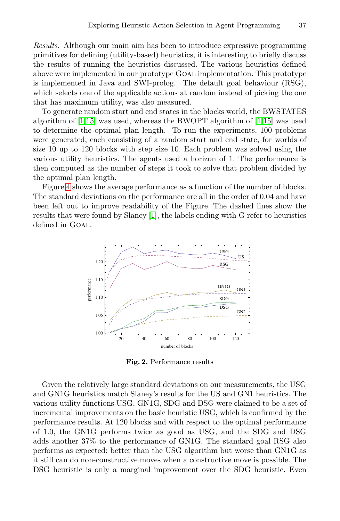*Results.* Although our main aim has been to i[nt](#page-15-0)[rod](#page-15-13)uce expressive programming primitives for defining (utility-based) heuristics, it is interesting to briefly discuss the results of running the heuristics discussed. The various heuristics defined above were implemented in our prototype Goal implementation. This prototype is implemented in Java and SWI-prolog. The default goal behaviour (RSG), which selects one of the applicable actions at random instead of picking the one that has maximum utility, was also measured.

To generate random start and end states in the blocks world, the BWSTATES algorithm of [1,15] was used, whereas the BWOPT algorithm of [1,15] was used to determine the optimal plan length. To run the experiments, 100 problems were generated[, e](#page-15-0)ach consisting of a random start and end state, for worlds of size 10 up to 120 blocks with step size 10. Each problem was solved using the various utility heuristics. The agents used a horizon of 1. The performance is then computed as the number of steps it took to solve that problem divided by the optimal plan length.

Figure 4 shows the average performance as a function of the number of blocks. The standard deviations on the performance are all in the order of 0.04 and have been left out to improve readability of the Figure. The dashed lines show the results that were found by Slaney [1], the labels ending with G refer to heuristics defined in GOAL.



**Fig. 2.** Performance results

Given the relatively large standard deviations on our measurements, the USG and GN1G heuristics match Slaney's results for the US and GN1 heuristics. The various utility functions USG, GN1G, SDG and DSG were claimed to be a set of incremental improvements on the basic heuristic USG, which is confirmed by the performance results. At 120 blocks and with respect to the optimal performance of 1.0, the GN1G performs twice as good as USG, and the SDG and DSG adds another 37% to the performance of GN1G. The standard goal RSG also performs as expected: better than the USG algorithm but worse than GN1G as it still can do non-constructive moves when a constructive move is possible. The DSG heuristic is only a marginal improvement over the SDG heuristic. Even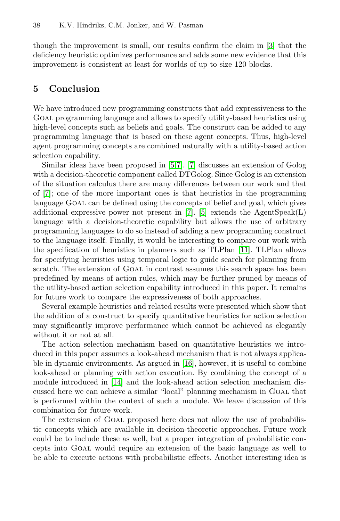<span id="page-14-0"></span>though the improvement is small, our results confirm the claim in [3] that the deficiency heuristic optimizes performance and adds some new evidence that this improvement is consistent at least for worlds of up to size 120 blocks.

## **5 Conclusion**

We have introduced new programming constructs that add expressiveness to the Goal programming language and allows to specify utility-based heuristics using high-level concepts such as beliefs and goals. The construct can be added to any programming language t[hat](#page-15-5) [is](#page-15-14) based on these agent concepts. Thus, high-level agent programming concepts are combined naturally with a utility-based action selection capability.

Similar ideas have been proposed in [5,7]. [7] discusses an extension of Golog with a decision-theoretic component calle[d D](#page-15-10)TGolog. Since Golog is an extension of the situation calculus there are many differences between our work and that of [7]; one of the more important ones is that heuristics in the programming language GOAL can be defined using the concepts of belief and goal, which gives additional expressive power not present in [7]. [5] extends the AgentSpeak(L) language with a decision-theoretic capability but allows the use of arbitrary programming languages to do so instead of adding a new programming construct to the language itself. Finally, it would be interesting to compare our work with the specification of heuristics in planners such as TLPlan [11]. TLPlan allows for specifying heuristics using temporal logic to guide search for planning from scratch. The extension of Goal in contrast assumes this search space has been predefined by means of action rules, which may be further pruned by means of the utility-based action [sele](#page-15-15)ction capability introduced in this paper. It remains for future work to compare the expressiveness of both approaches.

S[eve](#page-15-12)ral example heuristics and related results were presented which show that the addition of a construct to specify quantitative heuristics for action selection may significantly improve performance which cannot be achieved as elegantly without it or not at all.

The action selection mechanism based on quantitative heuristics we introduced in this paper assumes a look-ahead mechanism that is not always applicable in dynamic environments. As argued in [16], however, it is useful to combine look-ahead or planning with action execution. By combining the concept of a module introduced in [14] and the look-ahead action selection mechanism discussed here we can achieve a similar "local" planning mechanism in Goal that is performed within the context of such a module. We leave discussion of this combination for future work.

The extension of Goal proposed here does not allow the use of probabilistic concepts which are available in decision-theoretic approaches. Future work could be to include these as well, but a proper integration of probabilistic concepts into Goal would require an extension of the basic language as well to be able to execute actions with probabilistic effects. Another interesting idea is